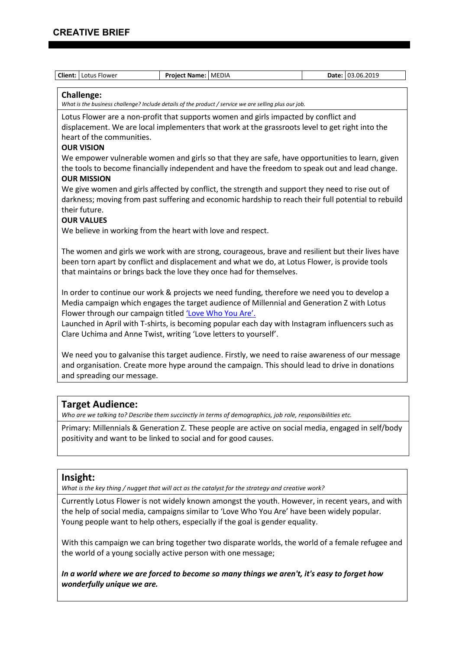| Client: Lotus Flower                                                                                                                                                                       | Project Name: MEDIA                                                                                       | Date: 03.06.2019 |
|--------------------------------------------------------------------------------------------------------------------------------------------------------------------------------------------|-----------------------------------------------------------------------------------------------------------|------------------|
| <b>Challenge:</b>                                                                                                                                                                          |                                                                                                           |                  |
|                                                                                                                                                                                            | What is the business challenge? Include details of the product / service we are selling plus our job.     |                  |
|                                                                                                                                                                                            | Lotus Flower are a non-profit that supports women and girls impacted by conflict and                      |                  |
|                                                                                                                                                                                            | displacement. We are local implementers that work at the grassroots level to get right into the           |                  |
| heart of the communities.                                                                                                                                                                  |                                                                                                           |                  |
| <b>OUR VISION</b>                                                                                                                                                                          | We empower vulnerable women and girls so that they are safe, have opportunities to learn, given           |                  |
|                                                                                                                                                                                            | the tools to become financially independent and have the freedom to speak out and lead change.            |                  |
| <b>OUR MISSION</b>                                                                                                                                                                         |                                                                                                           |                  |
|                                                                                                                                                                                            | We give women and girls affected by conflict, the strength and support they need to rise out of           |                  |
|                                                                                                                                                                                            | darkness; moving from past suffering and economic hardship to reach their full potential to rebuild       |                  |
| their future.                                                                                                                                                                              |                                                                                                           |                  |
| <b>OUR VALUES</b>                                                                                                                                                                          |                                                                                                           |                  |
|                                                                                                                                                                                            | We believe in working from the heart with love and respect.                                               |                  |
|                                                                                                                                                                                            | The women and girls we work with are strong, courageous, brave and resilient but their lives have         |                  |
|                                                                                                                                                                                            | been torn apart by conflict and displacement and what we do, at Lotus Flower, is provide tools            |                  |
|                                                                                                                                                                                            | that maintains or brings back the love they once had for themselves.                                      |                  |
|                                                                                                                                                                                            |                                                                                                           |                  |
| In order to continue our work & projects we need funding, therefore we need you to develop a<br>Media campaign which engages the target audience of Millennial and Generation Z with Lotus |                                                                                                           |                  |
|                                                                                                                                                                                            | Flower through our campaign titled 'Love Who You Are'.                                                    |                  |
|                                                                                                                                                                                            | Launched in April with T-shirts, is becoming popular each day with Instagram influencers such as          |                  |
| Clare Uchima and Anne Twist, writing 'Love letters to yourself'.                                                                                                                           |                                                                                                           |                  |
|                                                                                                                                                                                            |                                                                                                           |                  |
| We need you to galvanise this target audience. Firstly, we need to raise awareness of our message                                                                                          |                                                                                                           |                  |
| and organisation. Create more hype around the campaign. This should lead to drive in donations                                                                                             |                                                                                                           |                  |
| and spreading our message.                                                                                                                                                                 |                                                                                                           |                  |
|                                                                                                                                                                                            |                                                                                                           |                  |
| <b>Target Audience:</b>                                                                                                                                                                    |                                                                                                           |                  |
|                                                                                                                                                                                            | Who are we talking to? Describe them succinctly in terms of demographics, job role, responsibilities etc. |                  |
|                                                                                                                                                                                            | Primary: Millennials & Generation Z. These people are active on social media, engaged in self/body        |                  |
|                                                                                                                                                                                            | positivity and want to be linked to social and for good causes.                                           |                  |

## **Insight:**

*What is the key thing / nugget that will act as the catalyst for the strategy and creative work?*

Currently Lotus Flower is not widely known amongst the youth. However, in recent years, and with the help of social media, campaigns similar to 'Love Who You Are' have been widely popular. Young people want to help others, especially if the goal is gender equality.

With this campaign we can bring together two disparate worlds, the world of a female refugee and the world of a young socially active person with one message;

*In a world where we are forced to become so many things we aren't, it's easy to forget how wonderfully unique we are.*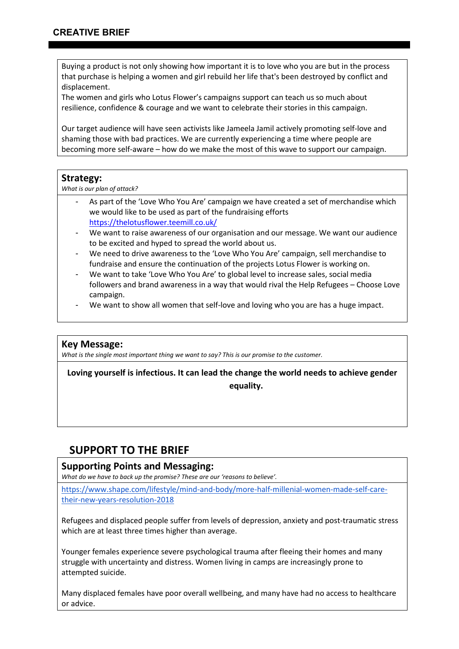Buying a product is not only showing how important it is to love who you are but in the process that purchase is helping a women and girl rebuild her life that's been destroyed by conflict and displacement.

The women and girls who Lotus Flower's campaigns support can teach us so much about resilience, confidence & courage and we want to celebrate their stories in this campaign.

Our target audience will have seen activists like Jameela Jamil actively promoting self-love and shaming those with bad practices. We are currently experiencing a time where people are becoming more self-aware – how do we make the most of this wave to support our campaign.

## **Strategy:**

*What is our plan of attack?* 

- As part of the 'Love Who You Are' campaign we have created a set of merchandise which we would like to be used as part of the fundraising efforts <https://thelotusflower.teemill.co.uk/>
- We want to raise awareness of our organisation and our message. We want our audience to be excited and hyped to spread the world about us.
- We need to drive awareness to the 'Love Who You Are' campaign, sell merchandise to fundraise and ensure the continuation of the projects Lotus Flower is working on.
- We want to take 'Love Who You Are' to global level to increase sales, social media followers and brand awareness in a way that would rival the Help Refugees – Choose Love campaign.
- We want to show all women that self-love and loving who you are has a huge impact.

## **Key Message:**

*What is the single most important thing we want to say? This is our promise to the customer.*

**Loving yourself is infectious. It can lead the change the world needs to achieve gender equality.**

# **SUPPORT TO THE BRIEF**

# **Supporting Points and Messaging:**

*What do we have to back up the promise? These are our 'reasons to believe'.*

[https://www.shape.com/lifestyle/mind-and-body/more-half-millenial-women-made-self-care](https://www.shape.com/lifestyle/mind-and-body/more-half-millenial-women-made-self-care-their-new-years-resolution-2018)[their-new-years-resolution-2018](https://www.shape.com/lifestyle/mind-and-body/more-half-millenial-women-made-self-care-their-new-years-resolution-2018)

Refugees and displaced people suffer from levels of depression, anxiety and post-traumatic stress which are at least three times higher than average.

Younger females experience severe psychological trauma after fleeing their homes and many struggle with uncertainty and distress. Women living in camps are increasingly prone to attempted suicide.

Many displaced females have poor overall wellbeing, and many have had no access to healthcare or advice.